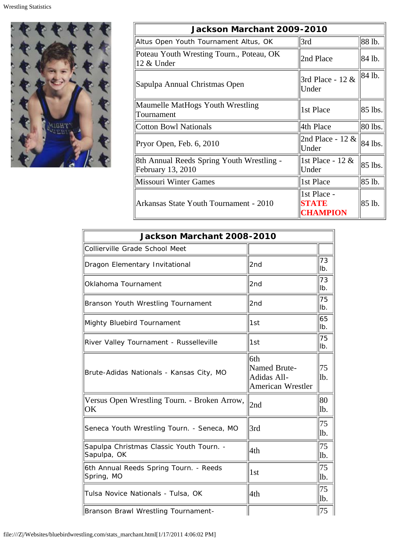

| Jackson Marchant 2009-2010                                     |                                  |         |  |
|----------------------------------------------------------------|----------------------------------|---------|--|
| Altus Open Youth Tournament Altus, OK                          | 3rd                              | 88 lb.  |  |
| Poteau Youth Wresting Tourn., Poteau, OK<br>12 & Under         | 2nd Place                        | 84 lb.  |  |
| Sapulpa Annual Christmas Open                                  | 3rd Place - 12 &<br>Under        | 84 lb.  |  |
| Maumelle MatHogs Youth Wrestling<br>Tournament                 | 1st Place                        | 85 lbs. |  |
| <b>Cotton Bowl Nationals</b>                                   | 4th Place                        | 80 lbs. |  |
| Pryor Open, Feb. 6, 2010                                       | 2nd Place - 12 $\&$<br>Under     | 84 lbs. |  |
| 8th Annual Reeds Spring Youth Wrestling -<br>February 13, 2010 | 1st Place - 12 &<br>Under        | 85 lbs. |  |
| <b>Missouri Winter Games</b>                                   | 1st Place                        | 85 lb.  |  |
| Arkansas State Youth Tournament - 2010                         | 1st Place -<br>STATE<br>CHAMPION | 85 lb.  |  |

| Jackson Marchant 2008-2010                              |                                                                |           |  |
|---------------------------------------------------------|----------------------------------------------------------------|-----------|--|
| Collierville Grade School Meet                          |                                                                |           |  |
| Dragon Elementary Invitational                          | 2nd                                                            | 73<br>lb. |  |
| Oklahoma Tournament                                     | 2nd                                                            | 73<br>lb. |  |
| Branson Youth Wrestling Tournament                      | 2nd                                                            | 75<br>lb. |  |
| Mighty Bluebird Tournament                              | 1st                                                            | 65<br>lb. |  |
| River Valley Tournament - Russelleville                 | 1st                                                            | 75<br>lb. |  |
| Brute-Adidas Nationals - Kansas City, MO                | 6th<br>Named Brute-<br>Adidas All-<br><b>American Wrestler</b> | 75<br>lb. |  |
| Versus Open Wrestling Tourn. - Broken Arrow,<br>OK      | 2nd                                                            | 80<br>lb. |  |
| Seneca Youth Wrestling Tourn. - Seneca, MO              | 3rd                                                            | 75<br>lb. |  |
| Sapulpa Christmas Classic Youth Tourn. -<br>Sapulpa, OK | 4th                                                            | 75<br>lb. |  |
| 6th Annual Reeds Spring Tourn. - Reeds<br>Spring, MO    | 1st                                                            | 75<br>lb. |  |
| Tulsa Novice Nationals - Tulsa, OK                      | 4th                                                            | 75<br>lb. |  |
| Branson Brawl Wrestling Tournament-                     |                                                                | 75        |  |

file:///Z|/Websites/bluebirdwrestling.com/stats\_marchant.html[1/17/2011 4:06:02 PM]